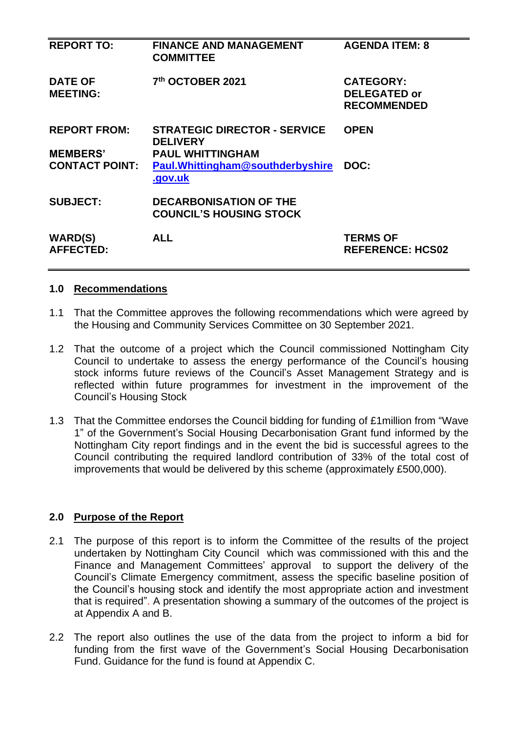| <b>REPORT TO:</b>                      | <b>FINANCE AND MANAGEMENT</b><br><b>COMMITTEE</b>                                 | <b>AGENDA ITEM: 8</b>                                         |
|----------------------------------------|-----------------------------------------------------------------------------------|---------------------------------------------------------------|
| <b>DATE OF</b><br><b>MEETING:</b>      | 7th OCTOBER 2021                                                                  | <b>CATEGORY:</b><br><b>DELEGATED or</b><br><b>RECOMMENDED</b> |
| <b>REPORT FROM:</b><br><b>MEMBERS'</b> | <b>STRATEGIC DIRECTOR - SERVICE</b><br><b>DELIVERY</b><br><b>PAUL WHITTINGHAM</b> | <b>OPEN</b>                                                   |
| <b>CONTACT POINT:</b>                  | Paul. Whittingham@southderbyshire<br>.gov.uk                                      | DOC:                                                          |
| <b>SUBJECT:</b>                        | <b>DECARBONISATION OF THE</b><br><b>COUNCIL'S HOUSING STOCK</b>                   |                                                               |
| <b>WARD(S)</b><br><b>AFFECTED:</b>     | <b>ALL</b>                                                                        | <b>TERMS OF</b><br><b>REFERENCE: HCS02</b>                    |

### **1.0 Recommendations**

- 1.1 That the Committee approves the following recommendations which were agreed by the Housing and Community Services Committee on 30 September 2021.
- 1.2 That the outcome of a project which the Council commissioned Nottingham City Council to undertake to assess the energy performance of the Council's housing stock informs future reviews of the Council's Asset Management Strategy and is reflected within future programmes for investment in the improvement of the Council's Housing Stock
- 1.3 That the Committee endorses the Council bidding for funding of £1million from "Wave 1" of the Government's Social Housing Decarbonisation Grant fund informed by the Nottingham City report findings and in the event the bid is successful agrees to the Council contributing the required landlord contribution of 33% of the total cost of improvements that would be delivered by this scheme (approximately £500,000).

### **2.0 Purpose of the Report**

- 2.1 The purpose of this report is to inform the Committee of the results of the project undertaken by Nottingham City Council which was commissioned with this and the Finance and Management Committees' approval to support the delivery of the Council's Climate Emergency commitment, assess the specific baseline position of the Council's housing stock and identify the most appropriate action and investment that is required". A presentation showing a summary of the outcomes of the project is at Appendix A and B.
- 2.2 The report also outlines the use of the data from the project to inform a bid for funding from the first wave of the Government's Social Housing Decarbonisation Fund. Guidance for the fund is found at Appendix C.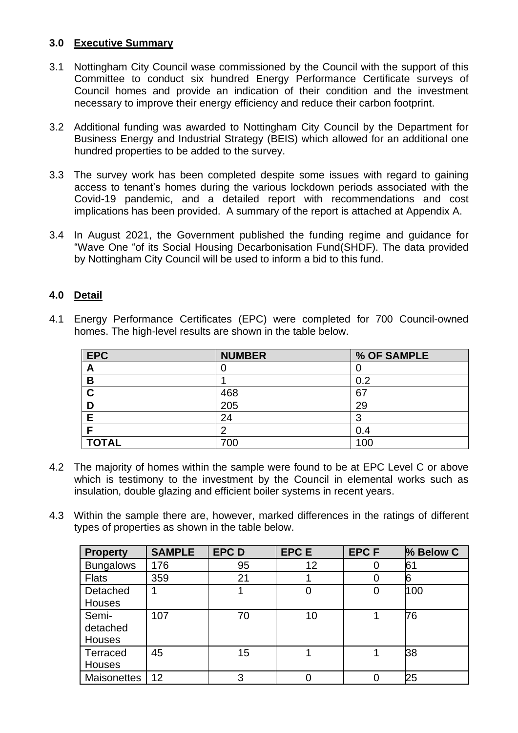# **3.0 Executive Summary**

- 3.1 Nottingham City Council wase commissioned by the Council with the support of this Committee to conduct six hundred Energy Performance Certificate surveys of Council homes and provide an indication of their condition and the investment necessary to improve their energy efficiency and reduce their carbon footprint.
- 3.2 Additional funding was awarded to Nottingham City Council by the Department for Business Energy and Industrial Strategy (BEIS) which allowed for an additional one hundred properties to be added to the survey.
- 3.3 The survey work has been completed despite some issues with regard to gaining access to tenant's homes during the various lockdown periods associated with the Covid-19 pandemic, and a detailed report with recommendations and cost implications has been provided. A summary of the report is attached at Appendix A.
- 3.4 In August 2021, the Government published the funding regime and guidance for "Wave One "of its Social Housing Decarbonisation Fund(SHDF). The data provided by Nottingham City Council will be used to inform a bid to this fund.

# **4.0 Detail**

|  |                                                             |  |  |  | 4.1 Energy Performance Certificates (EPC) were completed for 700 Council-owned |
|--|-------------------------------------------------------------|--|--|--|--------------------------------------------------------------------------------|
|  | homes. The high-level results are shown in the table below. |  |  |  |                                                                                |

| <b>EPC</b>   | <b>NUMBER</b> | % OF SAMPLE |
|--------------|---------------|-------------|
| A            |               |             |
| B            |               | 0.2         |
| C            | 468           | 67          |
|              | 205           | 29          |
| Е            | 24            | 3           |
|              | n             | 0.4         |
| <b>TOTAL</b> | 700           | 100         |

- 4.2 The majority of homes within the sample were found to be at EPC Level C or above which is testimony to the investment by the Council in elemental works such as insulation, double glazing and efficient boiler systems in recent years.
- 4.3 Within the sample there are, however, marked differences in the ratings of different types of properties as shown in the table below.

| <b>Property</b>    | <b>SAMPLE</b> | <b>EPCD</b> | <b>EPCE</b> | <b>EPCF</b> | % Below C |
|--------------------|---------------|-------------|-------------|-------------|-----------|
| <b>Bungalows</b>   | 176           | 95          | 12          |             | 61        |
| <b>Flats</b>       | 359           | 21          |             |             | 6         |
| Detached           |               |             | 0           |             | 100       |
| Houses             |               |             |             |             |           |
| Semi-              | 107           | 70          | 10          |             | 76        |
| detached           |               |             |             |             |           |
| <b>Houses</b>      |               |             |             |             |           |
| Terraced           | 45            | 15          |             |             | 38        |
| Houses             |               |             |             |             |           |
| <b>Maisonettes</b> | 12            | 3           |             |             | 25        |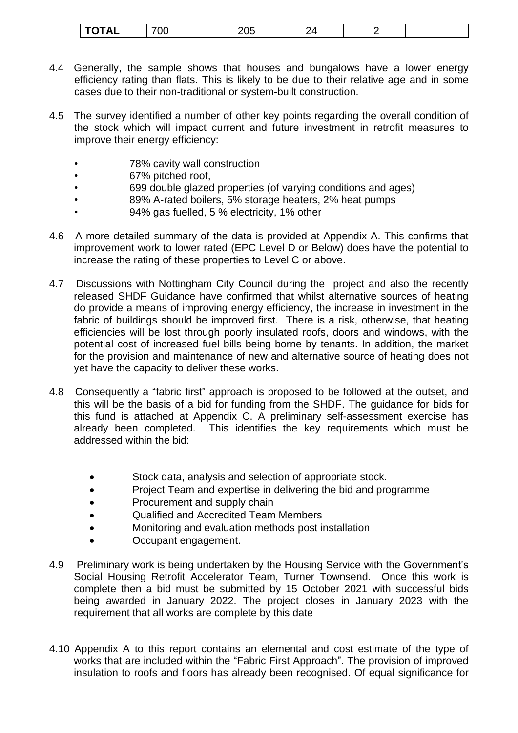| TAI<br>---<br>---<br>OC.<br>IVIAL | ---<br>u<br>∠∪ |  |  |  |
|-----------------------------------|----------------|--|--|--|
|-----------------------------------|----------------|--|--|--|

- 4.4 Generally, the sample shows that houses and bungalows have a lower energy efficiency rating than flats. This is likely to be due to their relative age and in some cases due to their non-traditional or system-built construction.
- 4.5 The survey identified a number of other key points regarding the overall condition of the stock which will impact current and future investment in retrofit measures to improve their energy efficiency:
	- 78% cavity wall construction
	- 67% pitched roof,
	- 699 double glazed properties (of varying conditions and ages)
	- 89% A-rated boilers, 5% storage heaters, 2% heat pumps
	- 94% gas fuelled, 5 % electricity, 1% other
- 4.6 A more detailed summary of the data is provided at Appendix A. This confirms that improvement work to lower rated (EPC Level D or Below) does have the potential to increase the rating of these properties to Level C or above.
- 4.7 Discussions with Nottingham City Council during the project and also the recently released SHDF Guidance have confirmed that whilst alternative sources of heating do provide a means of improving energy efficiency, the increase in investment in the fabric of buildings should be improved first. There is a risk, otherwise, that heating efficiencies will be lost through poorly insulated roofs, doors and windows, with the potential cost of increased fuel bills being borne by tenants. In addition, the market for the provision and maintenance of new and alternative source of heating does not yet have the capacity to deliver these works.
- 4.8 Consequently a "fabric first" approach is proposed to be followed at the outset, and this will be the basis of a bid for funding from the SHDF. The guidance for bids for this fund is attached at Appendix C. A preliminary self-assessment exercise has already been completed. This identifies the key requirements which must be addressed within the bid:
	- Stock data, analysis and selection of appropriate stock.
	- Project Team and expertise in delivering the bid and programme
	- Procurement and supply chain
	- Qualified and Accredited Team Members
	- Monitoring and evaluation methods post installation
	- Occupant engagement.
- 4.9 Preliminary work is being undertaken by the Housing Service with the Government's Social Housing Retrofit Accelerator Team, Turner Townsend. Once this work is complete then a bid must be submitted by 15 October 2021 with successful bids being awarded in January 2022. The project closes in January 2023 with the requirement that all works are complete by this date
- 4.10 Appendix A to this report contains an elemental and cost estimate of the type of works that are included within the "Fabric First Approach". The provision of improved insulation to roofs and floors has already been recognised. Of equal significance for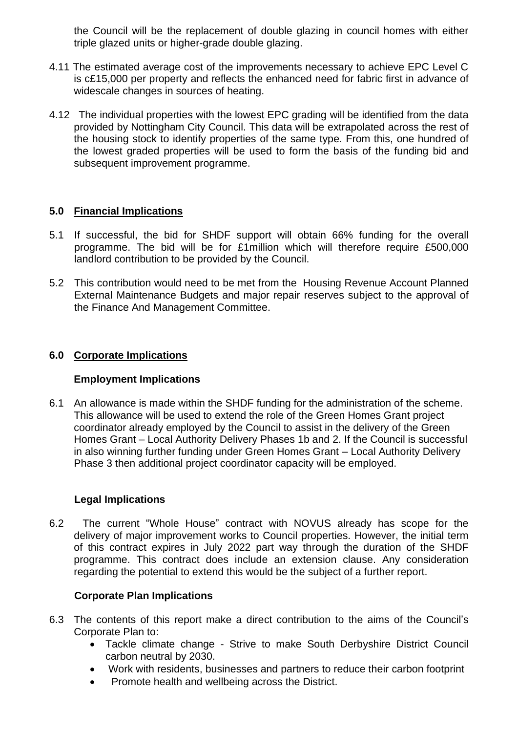the Council will be the replacement of double glazing in council homes with either triple glazed units or higher-grade double glazing.

- 4.11 The estimated average cost of the improvements necessary to achieve EPC Level C is c£15,000 per property and reflects the enhanced need for fabric first in advance of widescale changes in sources of heating.
- 4.12 The individual properties with the lowest EPC grading will be identified from the data provided by Nottingham City Council. This data will be extrapolated across the rest of the housing stock to identify properties of the same type. From this, one hundred of the lowest graded properties will be used to form the basis of the funding bid and subsequent improvement programme.

# **5.0 Financial Implications**

- 5.1 If successful, the bid for SHDF support will obtain 66% funding for the overall programme. The bid will be for £1million which will therefore require £500,000 landlord contribution to be provided by the Council.
- 5.2 This contribution would need to be met from the Housing Revenue Account Planned External Maintenance Budgets and major repair reserves subject to the approval of the Finance And Management Committee.

## **6.0 Corporate Implications**

### **Employment Implications**

6.1 An allowance is made within the SHDF funding for the administration of the scheme. This allowance will be used to extend the role of the Green Homes Grant project coordinator already employed by the Council to assist in the delivery of the Green Homes Grant – Local Authority Delivery Phases 1b and 2. If the Council is successful in also winning further funding under Green Homes Grant – Local Authority Delivery Phase 3 then additional project coordinator capacity will be employed.

### **Legal Implications**

6.2 The current "Whole House" contract with NOVUS already has scope for the delivery of major improvement works to Council properties. However, the initial term of this contract expires in July 2022 part way through the duration of the SHDF programme. This contract does include an extension clause. Any consideration regarding the potential to extend this would be the subject of a further report.

# **Corporate Plan Implications**

- 6.3 The contents of this report make a direct contribution to the aims of the Council's Corporate Plan to:
	- Tackle climate change Strive to make South Derbyshire District Council carbon neutral by 2030.
	- Work with residents, businesses and partners to reduce their carbon footprint
	- Promote health and wellbeing across the District.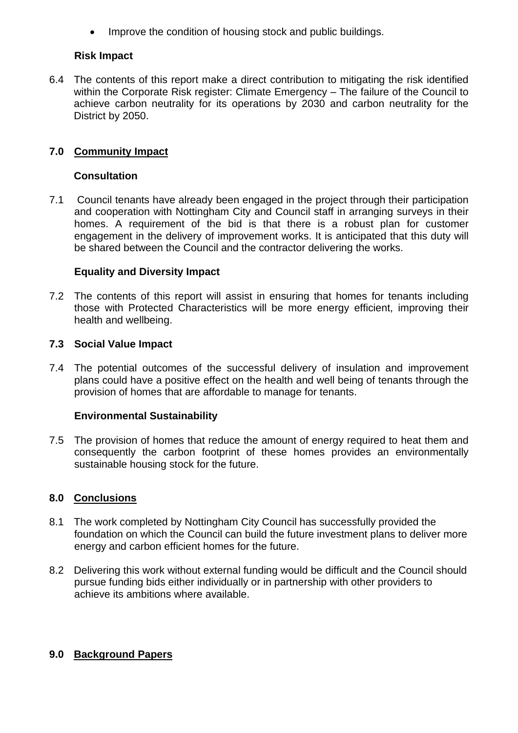Improve the condition of housing stock and public buildings.

# **Risk Impact**

6.4 The contents of this report make a direct contribution to mitigating the risk identified within the Corporate Risk register: Climate Emergency – The failure of the Council to achieve carbon neutrality for its operations by 2030 and carbon neutrality for the District by 2050.

# **7.0 Community Impact**

## **Consultation**

7.1 Council tenants have already been engaged in the project through their participation and cooperation with Nottingham City and Council staff in arranging surveys in their homes. A requirement of the bid is that there is a robust plan for customer engagement in the delivery of improvement works. It is anticipated that this duty will be shared between the Council and the contractor delivering the works.

# **Equality and Diversity Impact**

7.2 The contents of this report will assist in ensuring that homes for tenants including those with Protected Characteristics will be more energy efficient, improving their health and wellbeing.

## **7.3 Social Value Impact**

7.4 The potential outcomes of the successful delivery of insulation and improvement plans could have a positive effect on the health and well being of tenants through the provision of homes that are affordable to manage for tenants.

# **Environmental Sustainability**

7.5 The provision of homes that reduce the amount of energy required to heat them and consequently the carbon footprint of these homes provides an environmentally sustainable housing stock for the future.

# **8.0 Conclusions**

- 8.1 The work completed by Nottingham City Council has successfully provided the foundation on which the Council can build the future investment plans to deliver more energy and carbon efficient homes for the future.
- 8.2 Delivering this work without external funding would be difficult and the Council should pursue funding bids either individually or in partnership with other providers to achieve its ambitions where available.

# **9.0 Background Papers**